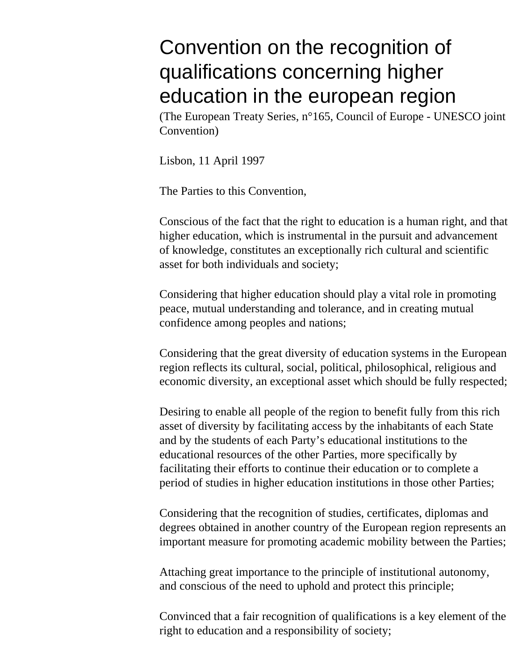# Convention on the recognition of qualifications concerning higher education in the european region

(The European Treaty Series, n°165, Council of Europe - UNESCO joint Convention)

Lisbon, 11 April 1997

The Parties to this Convention,

Conscious of the fact that the right to education is a human right, and that higher education, which is instrumental in the pursuit and advancement of knowledge, constitutes an exceptionally rich cultural and scientific asset for both individuals and society;

Considering that higher education should play a vital role in promoting peace, mutual understanding and tolerance, and in creating mutual confidence among peoples and nations;

Considering that the great diversity of education systems in the European region reflects its cultural, social, political, philosophical, religious and economic diversity, an exceptional asset which should be fully respected;

Desiring to enable all people of the region to benefit fully from this rich asset of diversity by facilitating access by the inhabitants of each State and by the students of each Party's educational institutions to the educational resources of the other Parties, more specifically by facilitating their efforts to continue their education or to complete a period of studies in higher education institutions in those other Parties;

Considering that the recognition of studies, certificates, diplomas and degrees obtained in another country of the European region represents an important measure for promoting academic mobility between the Parties;

Attaching great importance to the principle of institutional autonomy, and conscious of the need to uphold and protect this principle;

Convinced that a fair recognition of qualifications is a key element of the right to education and a responsibility of society;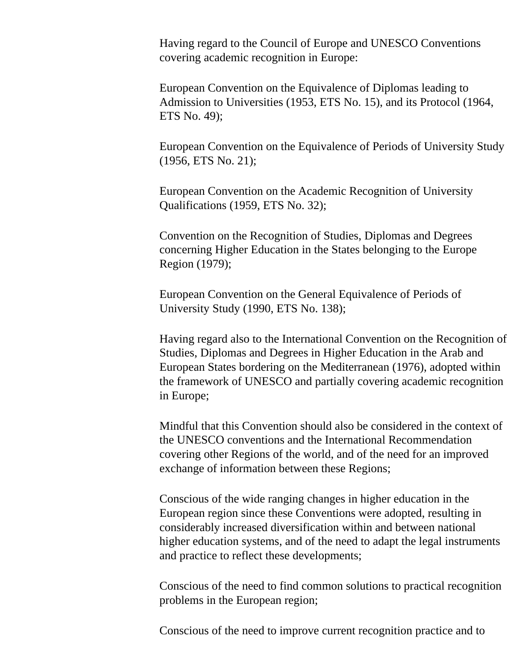Having regard to the Council of Europe and UNESCO Conventions covering academic recognition in Europe:

European Convention on the Equivalence of Diplomas leading to Admission to Universities (1953, ETS No. 15), and its Protocol (1964, ETS No. 49);

European Convention on the Equivalence of Periods of University Study (1956, ETS No. 21);

European Convention on the Academic Recognition of University Qualifications (1959, ETS No. 32);

Convention on the Recognition of Studies, Diplomas and Degrees concerning Higher Education in the States belonging to the Europe Region (1979);

European Convention on the General Equivalence of Periods of University Study (1990, ETS No. 138);

Having regard also to the International Convention on the Recognition of Studies, Diplomas and Degrees in Higher Education in the Arab and European States bordering on the Mediterranean (1976), adopted within the framework of UNESCO and partially covering academic recognition in Europe;

Mindful that this Convention should also be considered in the context of the UNESCO conventions and the International Recommendation covering other Regions of the world, and of the need for an improved exchange of information between these Regions;

Conscious of the wide ranging changes in higher education in the European region since these Conventions were adopted, resulting in considerably increased diversification within and between national higher education systems, and of the need to adapt the legal instruments and practice to reflect these developments;

Conscious of the need to find common solutions to practical recognition problems in the European region;

Conscious of the need to improve current recognition practice and to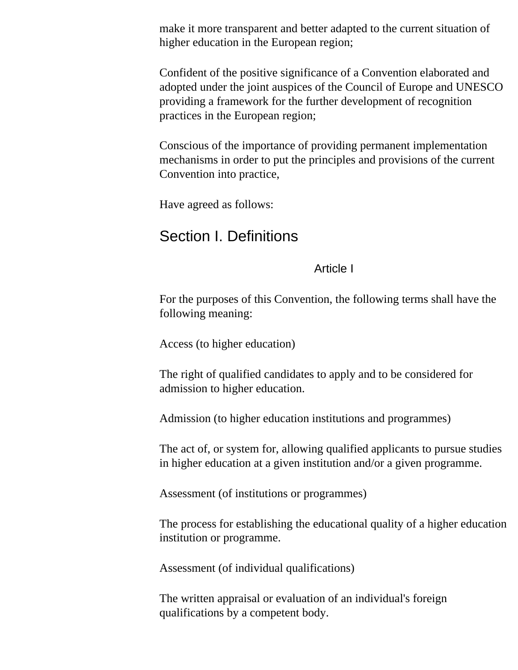make it more transparent and better adapted to the current situation of higher education in the European region;

Confident of the positive significance of a Convention elaborated and adopted under the joint auspices of the Council of Europe and UNESCO providing a framework for the further development of recognition practices in the European region;

Conscious of the importance of providing permanent implementation mechanisms in order to put the principles and provisions of the current Convention into practice,

Have agreed as follows:

# Section I. Definitions

#### Article I

For the purposes of this Convention, the following terms shall have the following meaning:

Access (to higher education)

The right of qualified candidates to apply and to be considered for admission to higher education.

Admission (to higher education institutions and programmes)

The act of, or system for, allowing qualified applicants to pursue studies in higher education at a given institution and/or a given programme.

Assessment (of institutions or programmes)

The process for establishing the educational quality of a higher education institution or programme.

Assessment (of individual qualifications)

The written appraisal or evaluation of an individual's foreign qualifications by a competent body.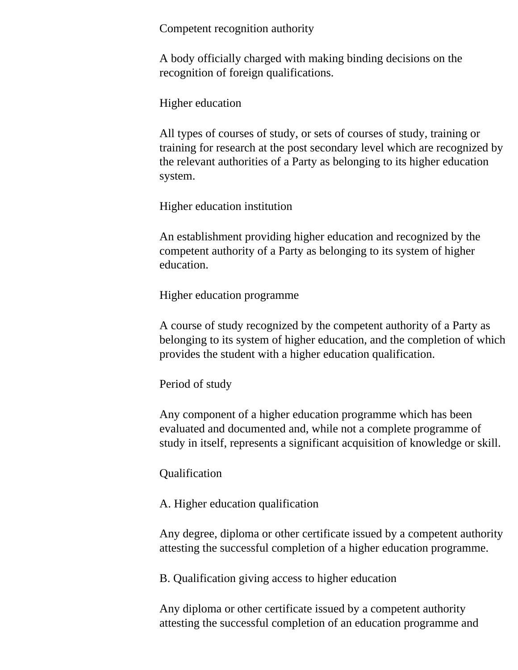Competent recognition authority

A body officially charged with making binding decisions on the recognition of foreign qualifications.

Higher education

All types of courses of study, or sets of courses of study, training or training for research at the post secondary level which are recognized by the relevant authorities of a Party as belonging to its higher education system.

Higher education institution

An establishment providing higher education and recognized by the competent authority of a Party as belonging to its system of higher education.

Higher education programme

A course of study recognized by the competent authority of a Party as belonging to its system of higher education, and the completion of which provides the student with a higher education qualification.

Period of study

Any component of a higher education programme which has been evaluated and documented and, while not a complete programme of study in itself, represents a significant acquisition of knowledge or skill.

Qualification

A. Higher education qualification

Any degree, diploma or other certificate issued by a competent authority attesting the successful completion of a higher education programme.

B. Qualification giving access to higher education

Any diploma or other certificate issued by a competent authority attesting the successful completion of an education programme and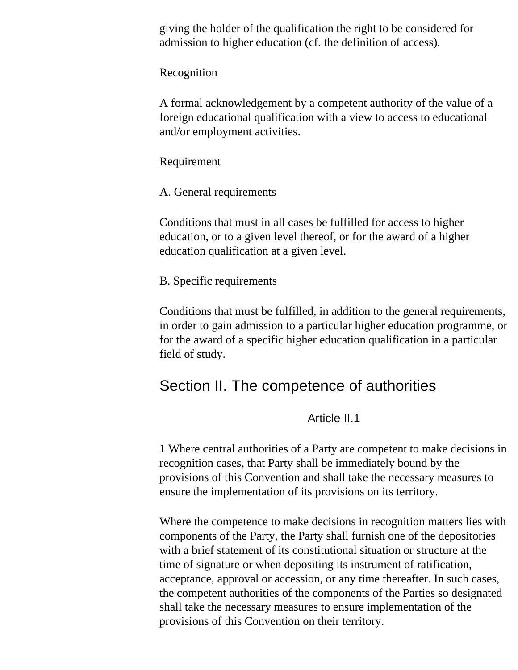giving the holder of the qualification the right to be considered for admission to higher education (cf. the definition of access).

Recognition

A formal acknowledgement by a competent authority of the value of a foreign educational qualification with a view to access to educational and/or employment activities.

Requirement

A. General requirements

Conditions that must in all cases be fulfilled for access to higher education, or to a given level thereof, or for the award of a higher education qualification at a given level.

B. Specific requirements

Conditions that must be fulfilled, in addition to the general requirements, in order to gain admission to a particular higher education programme, or for the award of a specific higher education qualification in a particular field of study.

# Section II. The competence of authorities

Article II.1

1 Where central authorities of a Party are competent to make decisions in recognition cases, that Party shall be immediately bound by the provisions of this Convention and shall take the necessary measures to ensure the implementation of its provisions on its territory.

Where the competence to make decisions in recognition matters lies with components of the Party, the Party shall furnish one of the depositories with a brief statement of its constitutional situation or structure at the time of signature or when depositing its instrument of ratification, acceptance, approval or accession, or any time thereafter. In such cases, the competent authorities of the components of the Parties so designated shall take the necessary measures to ensure implementation of the provisions of this Convention on their territory.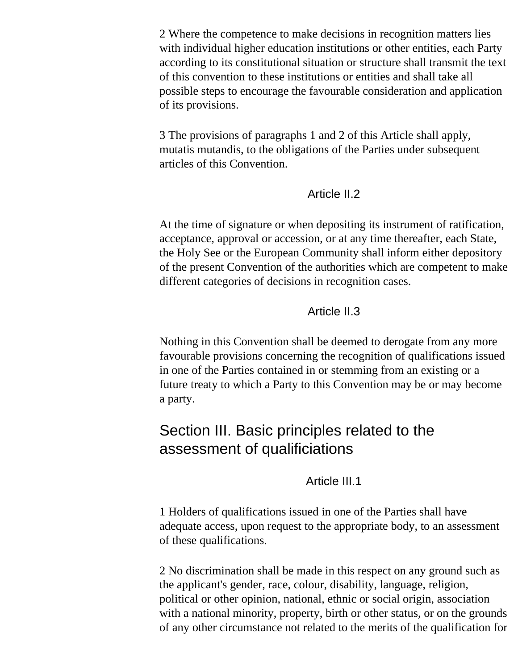2 Where the competence to make decisions in recognition matters lies with individual higher education institutions or other entities, each Party according to its constitutional situation or structure shall transmit the text of this convention to these institutions or entities and shall take all possible steps to encourage the favourable consideration and application of its provisions.

3 The provisions of paragraphs 1 and 2 of this Article shall apply, mutatis mutandis, to the obligations of the Parties under subsequent articles of this Convention.

#### Article II.2

At the time of signature or when depositing its instrument of ratification, acceptance, approval or accession, or at any time thereafter, each State, the Holy See or the European Community shall inform either depository of the present Convention of the authorities which are competent to make different categories of decisions in recognition cases.

### Article II.3

Nothing in this Convention shall be deemed to derogate from any more favourable provisions concerning the recognition of qualifications issued in one of the Parties contained in or stemming from an existing or a future treaty to which a Party to this Convention may be or may become a party.

# Section III. Basic principles related to the assessment of qualificiations

### Article III.1

1 Holders of qualifications issued in one of the Parties shall have adequate access, upon request to the appropriate body, to an assessment of these qualifications.

2 No discrimination shall be made in this respect on any ground such as the applicant's gender, race, colour, disability, language, religion, political or other opinion, national, ethnic or social origin, association with a national minority, property, birth or other status, or on the grounds of any other circumstance not related to the merits of the qualification for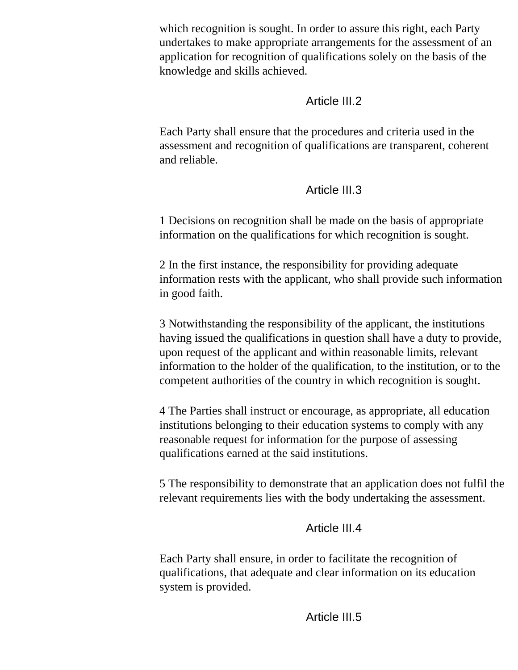which recognition is sought. In order to assure this right, each Party undertakes to make appropriate arrangements for the assessment of an application for recognition of qualifications solely on the basis of the knowledge and skills achieved.

# Article III.2

Each Party shall ensure that the procedures and criteria used in the assessment and recognition of qualifications are transparent, coherent and reliable.

# Article III.3

1 Decisions on recognition shall be made on the basis of appropriate information on the qualifications for which recognition is sought.

2 In the first instance, the responsibility for providing adequate information rests with the applicant, who shall provide such information in good faith.

3 Notwithstanding the responsibility of the applicant, the institutions having issued the qualifications in question shall have a duty to provide, upon request of the applicant and within reasonable limits, relevant information to the holder of the qualification, to the institution, or to the competent authorities of the country in which recognition is sought.

4 The Parties shall instruct or encourage, as appropriate, all education institutions belonging to their education systems to comply with any reasonable request for information for the purpose of assessing qualifications earned at the said institutions.

5 The responsibility to demonstrate that an application does not fulfil the relevant requirements lies with the body undertaking the assessment.

# Article III.4

Each Party shall ensure, in order to facilitate the recognition of qualifications, that adequate and clear information on its education system is provided.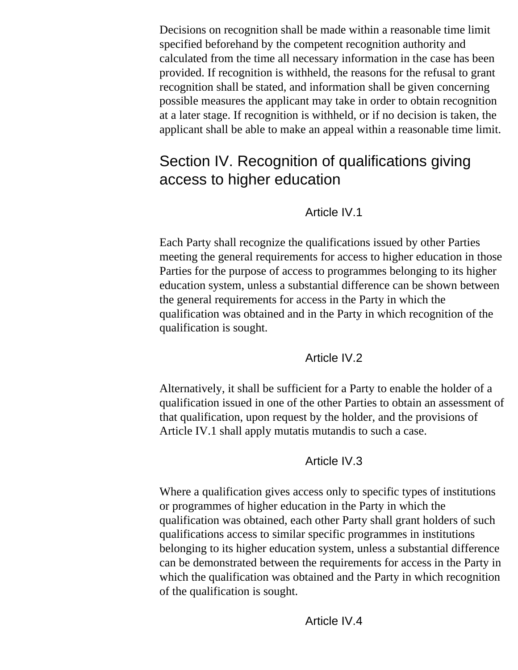Decisions on recognition shall be made within a reasonable time limit specified beforehand by the competent recognition authority and calculated from the time all necessary information in the case has been provided. If recognition is withheld, the reasons for the refusal to grant recognition shall be stated, and information shall be given concerning possible measures the applicant may take in order to obtain recognition at a later stage. If recognition is withheld, or if no decision is taken, the applicant shall be able to make an appeal within a reasonable time limit.

# Section IV. Recognition of qualifications giving access to higher education

# Article IV.1

Each Party shall recognize the qualifications issued by other Parties meeting the general requirements for access to higher education in those Parties for the purpose of access to programmes belonging to its higher education system, unless a substantial difference can be shown between the general requirements for access in the Party in which the qualification was obtained and in the Party in which recognition of the qualification is sought.

### Article IV.2

Alternatively, it shall be sufficient for a Party to enable the holder of a qualification issued in one of the other Parties to obtain an assessment of that qualification, upon request by the holder, and the provisions of Article IV.1 shall apply mutatis mutandis to such a case.

# Article IV.3

Where a qualification gives access only to specific types of institutions or programmes of higher education in the Party in which the qualification was obtained, each other Party shall grant holders of such qualifications access to similar specific programmes in institutions belonging to its higher education system, unless a substantial difference can be demonstrated between the requirements for access in the Party in which the qualification was obtained and the Party in which recognition of the qualification is sought.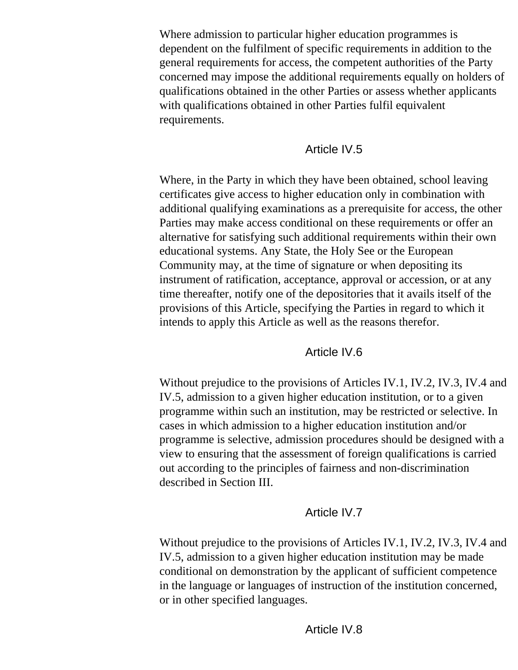Where admission to particular higher education programmes is dependent on the fulfilment of specific requirements in addition to the general requirements for access, the competent authorities of the Party concerned may impose the additional requirements equally on holders of qualifications obtained in the other Parties or assess whether applicants with qualifications obtained in other Parties fulfil equivalent requirements.

### Article IV.5

Where, in the Party in which they have been obtained, school leaving certificates give access to higher education only in combination with additional qualifying examinations as a prerequisite for access, the other Parties may make access conditional on these requirements or offer an alternative for satisfying such additional requirements within their own educational systems. Any State, the Holy See or the European Community may, at the time of signature or when depositing its instrument of ratification, acceptance, approval or accession, or at any time thereafter, notify one of the depositories that it avails itself of the provisions of this Article, specifying the Parties in regard to which it intends to apply this Article as well as the reasons therefor.

### Article IV.6

Without prejudice to the provisions of Articles IV.1, IV.2, IV.3, IV.4 and IV.5, admission to a given higher education institution, or to a given programme within such an institution, may be restricted or selective. In cases in which admission to a higher education institution and/or programme is selective, admission procedures should be designed with a view to ensuring that the assessment of foreign qualifications is carried out according to the principles of fairness and non-discrimination described in Section III.

# Article IV.7

<span id="page-8-0"></span>Without prejudice to the provisions of Articles IV.1, IV.2, IV.3, IV.4 and IV.5, admission to a given higher education institution may be made conditional on demonstration by the applicant of sufficient competence in the language or languages of instruction of the institution concerned, or in other specified languages.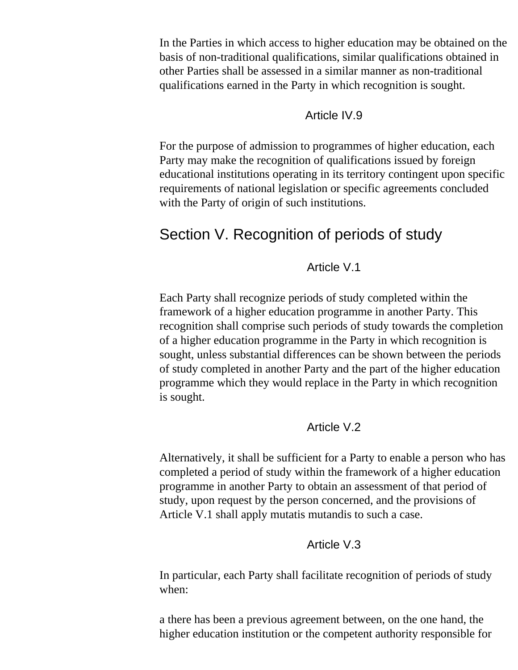In the Parties in which access to higher education may be obtained on the basis of non-traditional qualifications, similar qualifications obtained in other Parties shall be assessed in a similar manner as non-traditional qualifications earned in the Party in which recognition is sought.

#### Article IV.9

For the purpose of admission to programmes of higher education, each Party may make the recognition of qualifications issued by foreign educational institutions operating in its territory contingent upon specific requirements of national legislation or specific agreements concluded with the Party of origin of such institutions.

# Section V. Recognition of periods of study

#### Article V.1

Each Party shall recognize periods of study completed within the framework of a higher education programme in another Party. This recognition shall comprise such periods of study towards the completion of a higher education programme in the Party in which recognition is sought, unless substantial differences can be shown between the periods of study completed in another Party and the part of the higher education programme which they would replace in the Party in which recognition is sought.

#### Article V.2

Alternatively, it shall be sufficient for a Party to enable a person who has completed a period of study within the framework of a higher education programme in another Party to obtain an assessment of that period of study, upon request by the person concerned, and the provisions of Article V.1 shall apply mutatis mutandis to such a case.

#### Article V.3

<span id="page-9-0"></span>In particular, each Party shall facilitate recognition of periods of study when:

a there has been a previous agreement between, on the one hand, the higher education institution or the competent authority responsible for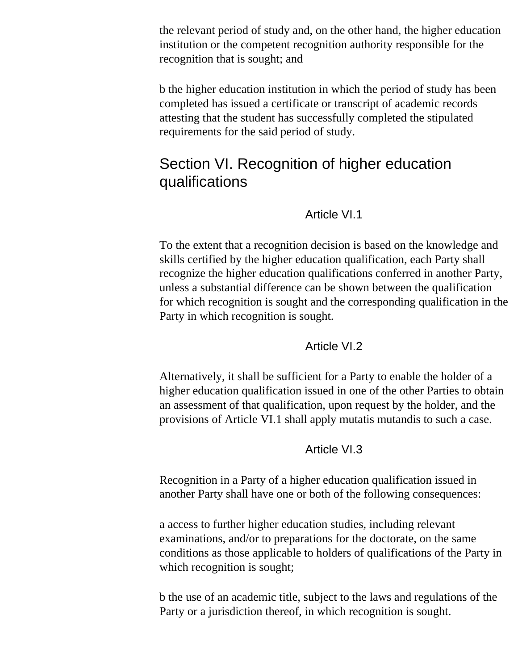the relevant period of study and, on the other hand, the higher education institution or the competent recognition authority responsible for the recognition that is sought; and

b the higher education institution in which the period of study has been completed has issued a certificate or transcript of academic records attesting that the student has successfully completed the stipulated requirements for the said period of study.

# Section VI. Recognition of higher education qualifications

#### Article VI.1

To the extent that a recognition decision is based on the knowledge and skills certified by the higher education qualification, each Party shall recognize the higher education qualifications conferred in another Party, unless a substantial difference can be shown between the qualification for which recognition is sought and the corresponding qualification in the Party in which recognition is sought.

#### Article VI.2

<span id="page-10-0"></span>Alternatively, it shall be sufficient for a Party to enable the holder of a higher education qualification issued in one of the other Parties to obtain an assessment of that qualification, upon request by the holder, and the provisions of Article VI.1 shall apply mutatis mutandis to such a case.

### Article VI.3

Recognition in a Party of a higher education qualification issued in another Party shall have one or both of the following consequences:

a access to further higher education studies, including relevant examinations, and/or to preparations for the doctorate, on the same conditions as those applicable to holders of qualifications of the Party in which recognition is sought;

b the use of an academic title, subject to the laws and regulations of the Party or a jurisdiction thereof, in which recognition is sought.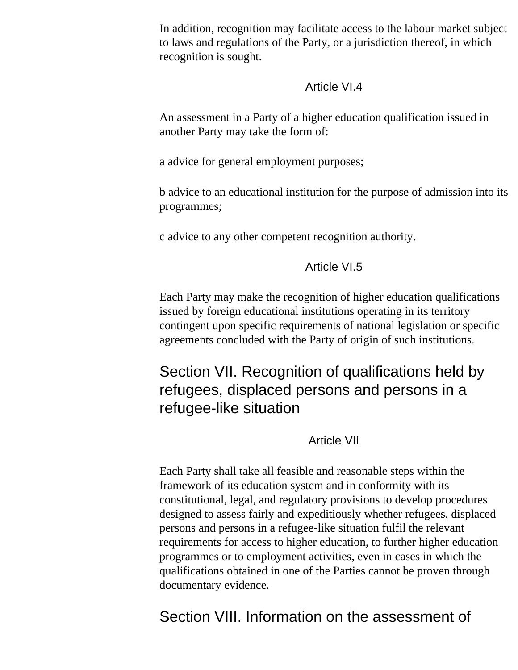In addition, recognition may facilitate access to the labour market subject to laws and regulations of the Party, or a jurisdiction thereof, in which recognition is sought.

#### Article VI.4

An assessment in a Party of a higher education qualification issued in another Party may take the form of:

a advice for general employment purposes;

b advice to an educational institution for the purpose of admission into its programmes;

c advice to any other competent recognition authority.

# Article VI.5

Each Party may make the recognition of higher education qualifications issued by foreign educational institutions operating in its territory contingent upon specific requirements of national legislation or specific agreements concluded with the Party of origin of such institutions.

Section VII. Recognition of qualifications held by refugees, displaced persons and persons in a refugee-like situation

# Article VII

Each Party shall take all feasible and reasonable steps within the framework of its education system and in conformity with its constitutional, legal, and regulatory provisions to develop procedures designed to assess fairly and expeditiously whether refugees, displaced persons and persons in a refugee-like situation fulfil the relevant requirements for access to higher education, to further higher education programmes or to employment activities, even in cases in which the qualifications obtained in one of the Parties cannot be proven through documentary evidence.

Section VIII. Information on the assessment of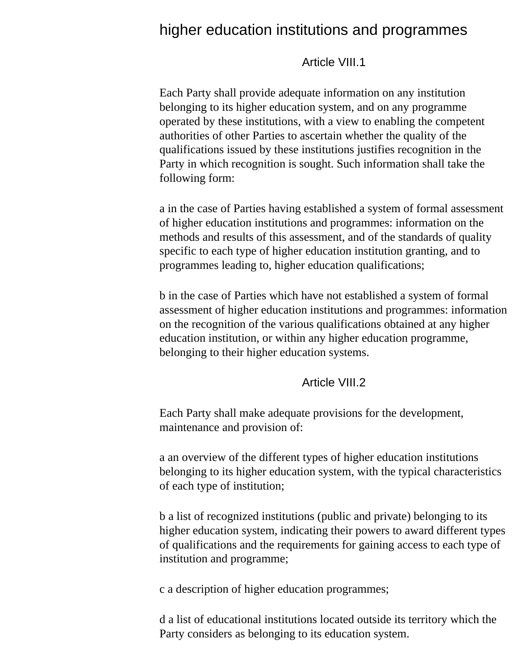# higher education institutions and programmes

#### Article VIII.1

Each Party shall provide adequate information on any institution belonging to its higher education system, and on any programme operated by these institutions, with a view to enabling the competent authorities of other Parties to ascertain whether the quality of the qualifications issued by these institutions justifies recognition in the Party in which recognition is sought. Such information shall take the following form:

a in the case of Parties having established a system of formal assessment of higher education institutions and programmes: information on the methods and results of this assessment, and of the standards of quality specific to each type of higher education institution granting, and to programmes leading to, higher education qualifications;

b in the case of Parties which have not established a system of formal assessment of higher education institutions and programmes: information on the recognition of the various qualifications obtained at any higher education institution, or within any higher education programme, belonging to their higher education systems.

#### Article VIII.2

<span id="page-12-0"></span>Each Party shall make adequate provisions for the development, maintenance and provision of:

a an overview of the different types of higher education institutions belonging to its higher education system, with the typical characteristics of each type of institution;

b a list of recognized institutions (public and private) belonging to its higher education system, indicating their powers to award different types of qualifications and the requirements for gaining access to each type of institution and programme;

c a description of higher education programmes;

d a list of educational institutions located outside its territory which the Party considers as belonging to its education system.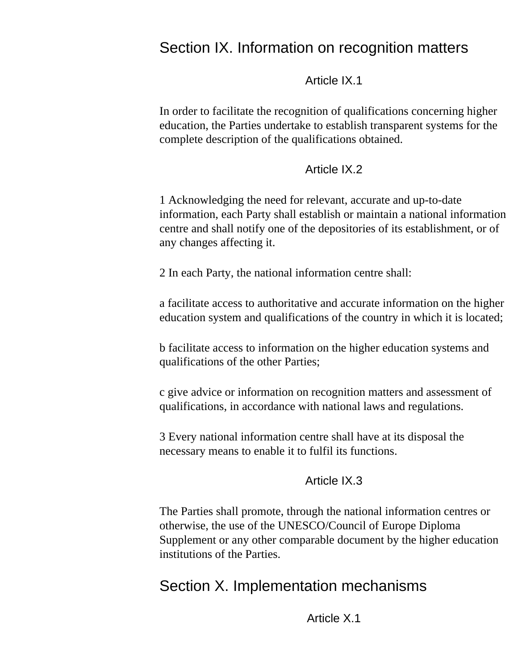# Section IX. Information on recognition matters

Article IX.1

In order to facilitate the recognition of qualifications concerning higher education, the Parties undertake to establish transparent systems for the complete description of the qualifications obtained.

#### Article IX.2

1 Acknowledging the need for relevant, accurate and up-to-date information, each Party shall establish or maintain a national information centre and shall notify one of the depositories of its establishment, or of any changes affecting it.

2 In each Party, the national information centre shall:

a facilitate access to authoritative and accurate information on the higher education system and qualifications of the country in which it is located;

b facilitate access to information on the higher education systems and qualifications of the other Parties;

c give advice or information on recognition matters and assessment of qualifications, in accordance with national laws and regulations.

<span id="page-13-0"></span>3 Every national information centre shall have at its disposal the necessary means to enable it to fulfil its functions.

#### Article IX.3

The Parties shall promote, through the national information centres or otherwise, the use of the UNESCO/Council of Europe Diploma Supplement or any other comparable document by the higher education institutions of the Parties.

# Section X. Implementation mechanisms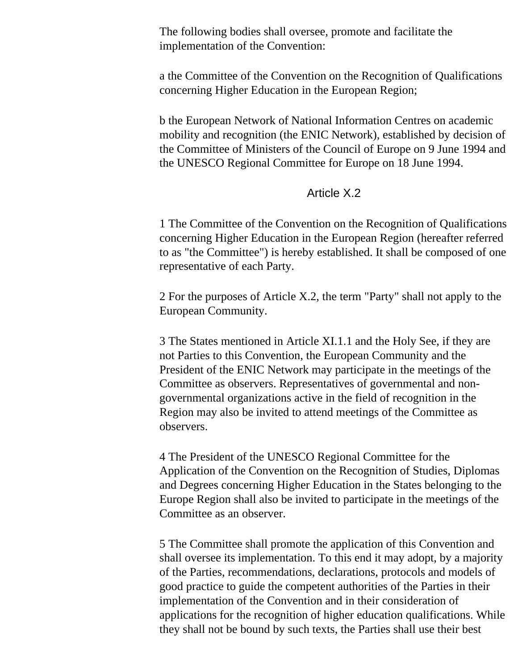The following bodies shall oversee, promote and facilitate the implementation of the Convention:

a the Committee of the Convention on the Recognition of Qualifications concerning Higher Education in the European Region;

b the European Network of National Information Centres on academic mobility and recognition (the ENIC Network), established by decision of the Committee of Ministers of the Council of Europe on 9 June 1994 and the UNESCO Regional Committee for Europe on 18 June 1994.

#### Article X.2

1 The Committee of the Convention on the Recognition of Qualifications concerning Higher Education in the European Region (hereafter referred to as "the Committee") is hereby established. It shall be composed of one representative of each Party.

2 For the purposes of Article X.2, the term "Party" shall not apply to the European Community.

3 The States mentioned in Article XI.1.1 and the Holy See, if they are not Parties to this Convention, the European Community and the President of the ENIC Network may participate in the meetings of the Committee as observers. Representatives of governmental and nongovernmental organizations active in the field of recognition in the Region may also be invited to attend meetings of the Committee as observers.

4 The President of the UNESCO Regional Committee for the Application of the Convention on the Recognition of Studies, Diplomas and Degrees concerning Higher Education in the States belonging to the Europe Region shall also be invited to participate in the meetings of the Committee as an observer.

5 The Committee shall promote the application of this Convention and shall oversee its implementation. To this end it may adopt, by a majority of the Parties, recommendations, declarations, protocols and models of good practice to guide the competent authorities of the Parties in their implementation of the Convention and in their consideration of applications for the recognition of higher education qualifications. While they shall not be bound by such texts, the Parties shall use their best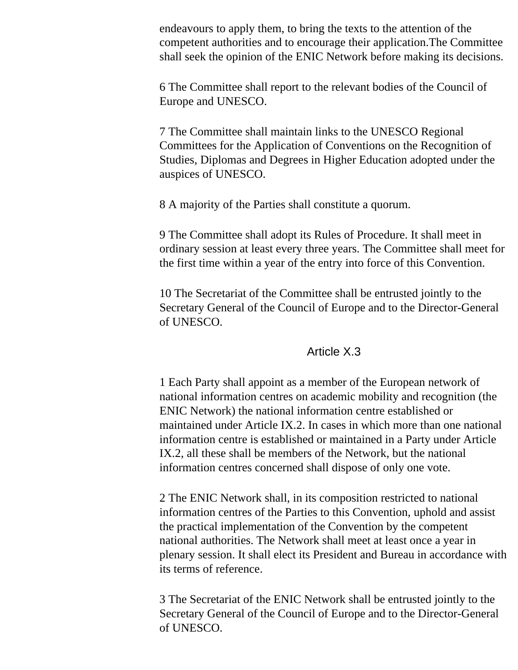endeavours to apply them, to bring the texts to the attention of the competent authorities and to encourage their application.The Committee shall seek the opinion of the ENIC Network before making its decisions.

6 The Committee shall report to the relevant bodies of the Council of Europe and UNESCO.

7 The Committee shall maintain links to the UNESCO Regional Committees for the Application of Conventions on the Recognition of Studies, Diplomas and Degrees in Higher Education adopted under the auspices of UNESCO.

8 A majority of the Parties shall constitute a quorum.

9 The Committee shall adopt its Rules of Procedure. It shall meet in ordinary session at least every three years. The Committee shall meet for the first time within a year of the entry into force of this Convention.

10 The Secretariat of the Committee shall be entrusted jointly to the Secretary General of the Council of Europe and to the Director-General of UNESCO.

#### Article X.3

1 Each Party shall appoint as a member of the European network of national information centres on academic mobility and recognition (the ENIC Network) the national information centre established or maintained under Article IX.2. In cases in which more than one national information centre is established or maintained in a Party under Article IX.2, all these shall be members of the Network, but the national information centres concerned shall dispose of only one vote.

2 The ENIC Network shall, in its composition restricted to national information centres of the Parties to this Convention, uphold and assist the practical implementation of the Convention by the competent national authorities. The Network shall meet at least once a year in plenary session. It shall elect its President and Bureau in accordance with its terms of reference.

3 The Secretariat of the ENIC Network shall be entrusted jointly to the Secretary General of the Council of Europe and to the Director-General of UNESCO.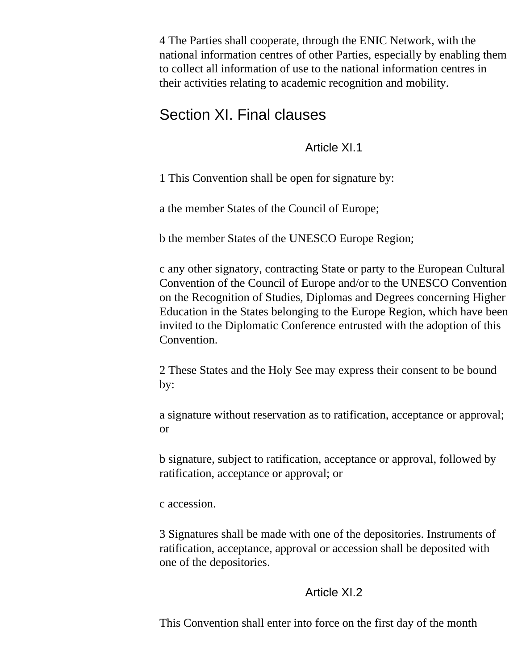4 The Parties shall cooperate, through the ENIC Network, with the national information centres of other Parties, especially by enabling them to collect all information of use to the national information centres in their activities relating to academic recognition and mobility.

# Section XI. Final clauses

Article XI.1

1 This Convention shall be open for signature by:

a the member States of the Council of Europe;

b the member States of the UNESCO Europe Region;

c any other signatory, contracting State or party to the European Cultural Convention of the Council of Europe and/or to the UNESCO Convention on the Recognition of Studies, Diplomas and Degrees concerning Higher Education in the States belonging to the Europe Region, which have been invited to the Diplomatic Conference entrusted with the adoption of this Convention.

2 These States and the Holy See may express their consent to be bound by:

a signature without reservation as to ratification, acceptance or approval; or

b signature, subject to ratification, acceptance or approval, followed by ratification, acceptance or approval; or

c accession.

3 Signatures shall be made with one of the depositories. Instruments of ratification, acceptance, approval or accession shall be deposited with one of the depositories.

# Article XI.2

This Convention shall enter into force on the first day of the month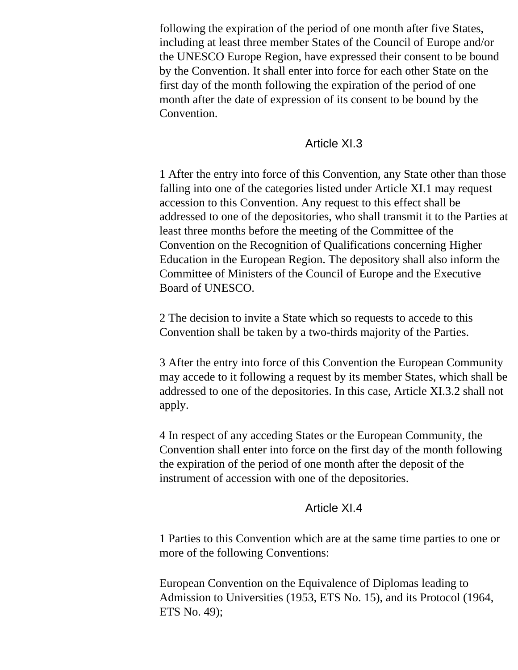following the expiration of the period of one month after five States, including at least three member States of the Council of Europe and/or the UNESCO Europe Region, have expressed their consent to be bound by the Convention. It shall enter into force for each other State on the first day of the month following the expiration of the period of one month after the date of expression of its consent to be bound by the Convention.

### Article XI.3

1 After the entry into force of this Convention, any State other than those falling into one of the categories listed under Article XI.1 may request accession to this Convention. Any request to this effect shall be addressed to one of the depositories, who shall transmit it to the Parties at least three months before the meeting of the Committee of the Convention on the Recognition of Qualifications concerning Higher Education in the European Region. The depository shall also inform the Committee of Ministers of the Council of Europe and the Executive Board of UNESCO.

2 The decision to invite a State which so requests to accede to this Convention shall be taken by a two-thirds majority of the Parties.

3 After the entry into force of this Convention the European Community may accede to it following a request by its member States, which shall be addressed to one of the depositories. In this case, Article XI.3.2 shall not apply.

4 In respect of any acceding States or the European Community, the Convention shall enter into force on the first day of the month following the expiration of the period of one month after the deposit of the instrument of accession with one of the depositories.

#### Article XI.4

1 Parties to this Convention which are at the same time parties to one or more of the following Conventions:

European Convention on the Equivalence of Diplomas leading to Admission to Universities (1953, ETS No. 15), and its Protocol (1964, ETS No. 49);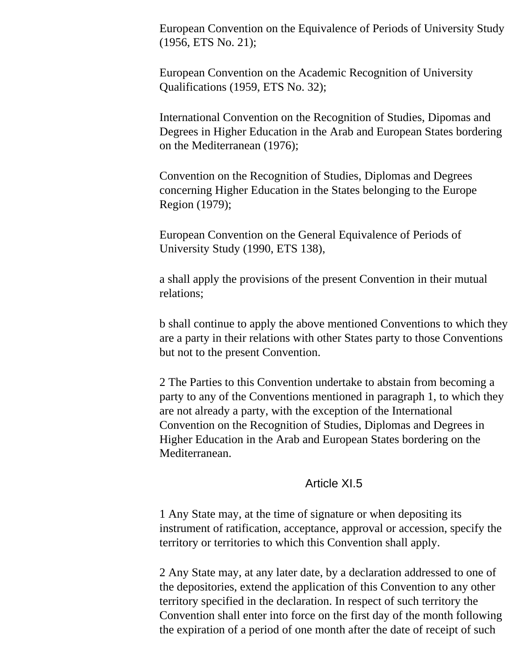European Convention on the Equivalence of Periods of University Study (1956, ETS No. 21);

European Convention on the Academic Recognition of University Qualifications (1959, ETS No. 32);

International Convention on the Recognition of Studies, Dipomas and Degrees in Higher Education in the Arab and European States bordering on the Mediterranean (1976);

Convention on the Recognition of Studies, Diplomas and Degrees concerning Higher Education in the States belonging to the Europe Region (1979);

European Convention on the General Equivalence of Periods of University Study (1990, ETS 138),

a shall apply the provisions of the present Convention in their mutual relations;

b shall continue to apply the above mentioned Conventions to which they are a party in their relations with other States party to those Conventions but not to the present Convention.

2 The Parties to this Convention undertake to abstain from becoming a party to any of the Conventions mentioned in paragraph 1, to which they are not already a party, with the exception of the International Convention on the Recognition of Studies, Diplomas and Degrees in Higher Education in the Arab and European States bordering on the Mediterranean.

#### Article XI.5

1 Any State may, at the time of signature or when depositing its instrument of ratification, acceptance, approval or accession, specify the territory or territories to which this Convention shall apply.

2 Any State may, at any later date, by a declaration addressed to one of the depositories, extend the application of this Convention to any other territory specified in the declaration. In respect of such territory the Convention shall enter into force on the first day of the month following the expiration of a period of one month after the date of receipt of such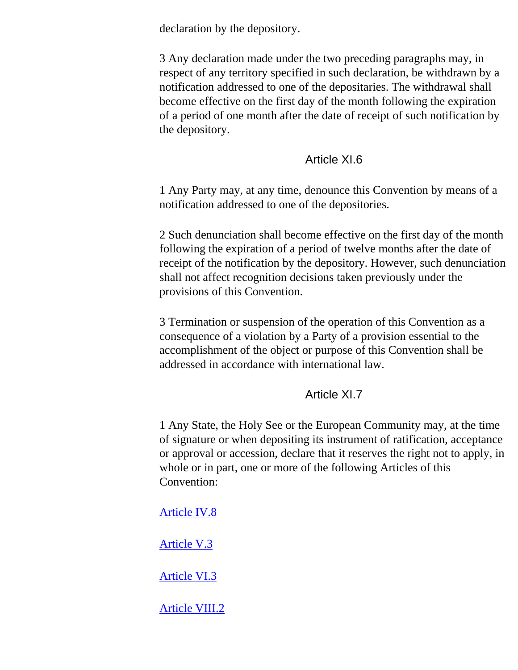declaration by the depository.

3 Any declaration made under the two preceding paragraphs may, in respect of any territory specified in such declaration, be withdrawn by a notification addressed to one of the depositaries. The withdrawal shall become effective on the first day of the month following the expiration of a period of one month after the date of receipt of such notification by the depository.

### Article XI.6

1 Any Party may, at any time, denounce this Convention by means of a notification addressed to one of the depositories.

2 Such denunciation shall become effective on the first day of the month following the expiration of a period of twelve months after the date of receipt of the notification by the depository. However, such denunciation shall not affect recognition decisions taken previously under the provisions of this Convention.

3 Termination or suspension of the operation of this Convention as a consequence of a violation by a Party of a provision essential to the accomplishment of the object or purpose of this Convention shall be addressed in accordance with international law.

# Article XI.7

1 Any State, the Holy See or the European Community may, at the time of signature or when depositing its instrument of ratification, acceptance or approval or accession, declare that it reserves the right not to apply, in whole or in part, one or more of the following Articles of this Convention:

# [Article IV.8](#page-8-0)

[Article V.3](#page-9-0)

[Article VI.3](#page-10-0)

[Article VIII.2](#page-12-0)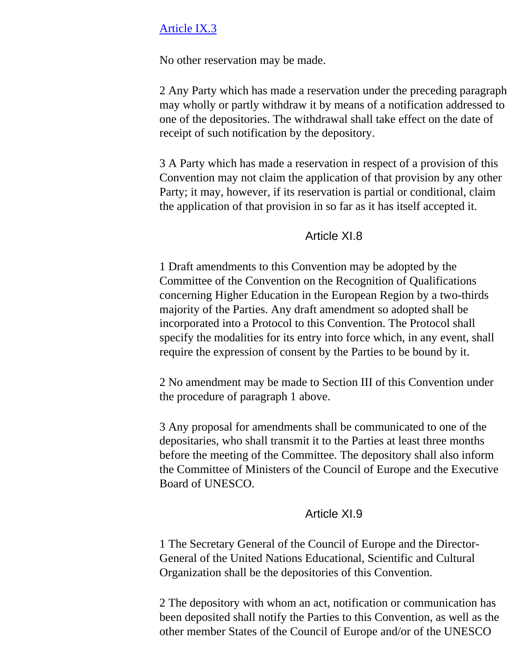#### [Article IX.3](#page-13-0)

No other reservation may be made.

2 Any Party which has made a reservation under the preceding paragraph may wholly or partly withdraw it by means of a notification addressed to one of the depositories. The withdrawal shall take effect on the date of receipt of such notification by the depository.

3 A Party which has made a reservation in respect of a provision of this Convention may not claim the application of that provision by any other Party; it may, however, if its reservation is partial or conditional, claim the application of that provision in so far as it has itself accepted it.

#### Article XI.8

1 Draft amendments to this Convention may be adopted by the Committee of the Convention on the Recognition of Qualifications concerning Higher Education in the European Region by a two-thirds majority of the Parties. Any draft amendment so adopted shall be incorporated into a Protocol to this Convention. The Protocol shall specify the modalities for its entry into force which, in any event, shall require the expression of consent by the Parties to be bound by it.

2 No amendment may be made to Section III of this Convention under the procedure of paragraph 1 above.

3 Any proposal for amendments shall be communicated to one of the depositaries, who shall transmit it to the Parties at least three months before the meeting of the Committee. The depository shall also inform the Committee of Ministers of the Council of Europe and the Executive Board of UNESCO.

#### Article XI.9

1 The Secretary General of the Council of Europe and the Director-General of the United Nations Educational, Scientific and Cultural Organization shall be the depositories of this Convention.

2 The depository with whom an act, notification or communication has been deposited shall notify the Parties to this Convention, as well as the other member States of the Council of Europe and/or of the UNESCO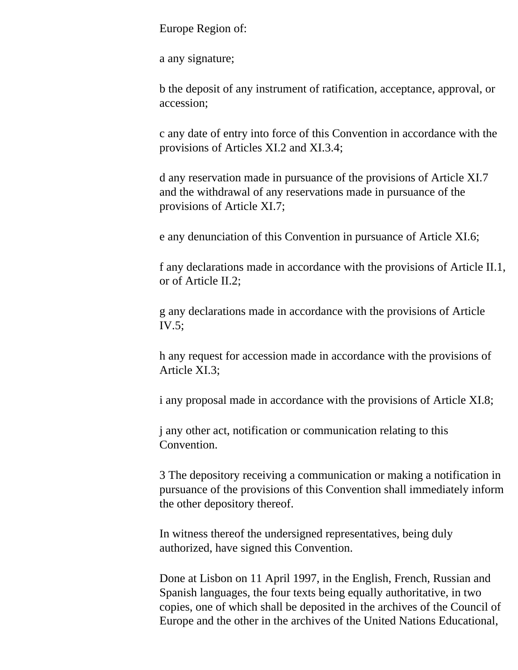Europe Region of:

a any signature;

b the deposit of any instrument of ratification, acceptance, approval, or accession;

c any date of entry into force of this Convention in accordance with the provisions of Articles XI.2 and XI.3.4;

d any reservation made in pursuance of the provisions of Article XI.7 and the withdrawal of any reservations made in pursuance of the provisions of Article XI.7;

e any denunciation of this Convention in pursuance of Article XI.6;

f any declarations made in accordance with the provisions of Article II.1, or of Article II.2;

g any declarations made in accordance with the provisions of Article IV.5;

h any request for accession made in accordance with the provisions of Article XI.3;

i any proposal made in accordance with the provisions of Article XI.8;

j any other act, notification or communication relating to this **Convention** 

3 The depository receiving a communication or making a notification in pursuance of the provisions of this Convention shall immediately inform the other depository thereof.

In witness thereof the undersigned representatives, being duly authorized, have signed this Convention.

Done at Lisbon on 11 April 1997, in the English, French, Russian and Spanish languages, the four texts being equally authoritative, in two copies, one of which shall be deposited in the archives of the Council of Europe and the other in the archives of the United Nations Educational,